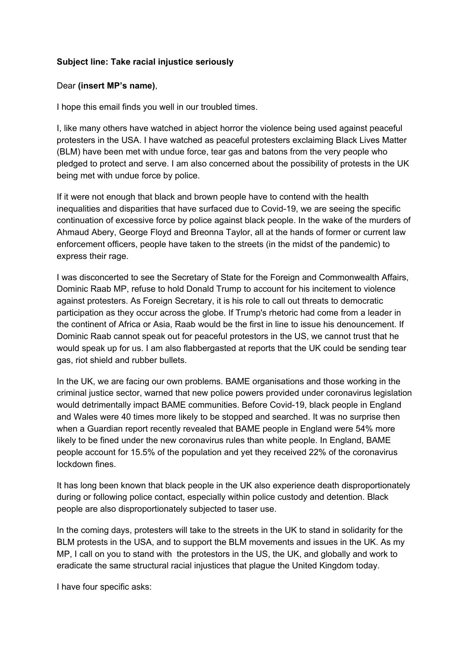## **Subject line: Take racial injustice seriously**

## Dear **(insert MP's name)**,

I hope this email finds you well in our troubled times.

I, like many others have watched in abject horror the violence being used against peaceful protesters in the USA. I have watched as peaceful protesters exclaiming Black Lives Matter (BLM) have been met with undue force, tear gas and batons from the very people who pledged to protect and serve. I am also concerned about the possibility of protests in the UK being met with undue force by police.

If it were not enough that black and brown people have to contend with the health inequalities and disparities that have surfaced due to Covid-19, we are seeing the specific continuation of excessive force by police against black people. In the wake of the murders of Ahmaud Abery, George Floyd and Breonna Taylor, all at the hands of former or current law enforcement officers, people have taken to the streets (in the midst of the pandemic) to express their rage.

I was disconcerted to see the Secretary of State for the Foreign and Commonwealth Affairs, Dominic Raab MP, refuse to hold Donald Trump to account for his incitement to violence against protesters. As Foreign Secretary, it is his role to call out threats to democratic participation as they occur across the globe. If Trump's rhetoric had come from a leader in the continent of Africa or Asia, Raab would be the first in line to issue his denouncement. If Dominic Raab cannot speak out for peaceful protestors in the US, we cannot trust that he would speak up for us. I am also flabbergasted at reports that the UK could be sending tear gas, riot shield and rubber bullets.

In the UK, we are facing our own problems. BAME organisations and those working in the criminal justice sector, warned that new police powers provided under coronavirus legislation would detrimentally impact BAME communities. Before Covid-19, black people in England and Wales were 40 times more likely to be stopped and searched. It was no surprise then when a Guardian report recently revealed that BAME people in England were 54% more likely to be fined under the new coronavirus rules than white people. In England, BAME people account for 15.5% of the population and yet they received 22% of the coronavirus lockdown fines.

It has long been known that black people in the UK also experience death disproportionately during or following police contact, especially within police custody and detention. Black people are also disproportionately subjected to taser use.

In the coming days, protesters will take to the streets in the UK to stand in solidarity for the BLM protests in the USA, and to support the BLM movements and issues in the UK. As my MP, I call on you to stand with the protestors in the US, the UK, and globally and work to eradicate the same structural racial injustices that plague the United Kingdom today.

I have four specific asks: